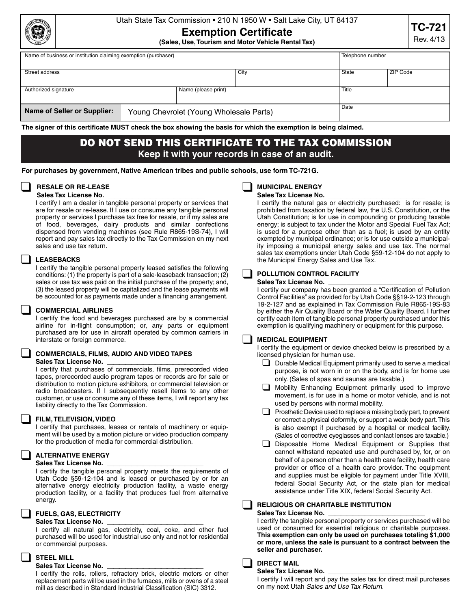| m.<br>ţċ |
|----------|
|          |
|          |

## Utah State Tax Commission • 210 N 1950 W • Salt Lake City, UT 84137

# **Exemption Certificate**

**(Sales, Use, Tourism and Motor Vehicle Rental Tax)**

| Name of business or institution claiming exemption (purchaser) |  |                                         |      | Telephone number |       |          |  |
|----------------------------------------------------------------|--|-----------------------------------------|------|------------------|-------|----------|--|
|                                                                |  |                                         |      |                  |       |          |  |
| Street address                                                 |  |                                         | City |                  | State | ZIP Code |  |
|                                                                |  |                                         |      |                  |       |          |  |
| Authorized signature<br>Name (please print)                    |  |                                         |      | Title            |       |          |  |
|                                                                |  |                                         |      |                  |       |          |  |
|                                                                |  |                                         |      | Date             |       |          |  |
| Name of Seller or Supplier:                                    |  | Young Chevrolet (Young Wholesale Parts) |      |                  |       |          |  |
|                                                                |  |                                         |      |                  |       |          |  |

**The signer of this certificate MUST check the box showing the basis for which the exemption is being claimed.** 

# **DO NOT SEND THIS CERTIFICATE TO THE TAX COMMISSION Keep it with your records in case of an audit.**

**For purchases by government, Native American tribes and public schools, use form TC-721G.**

#### ❑ **RESALE OR RE-LEASE**  Sales Tax License No.

I certify I am a dealer in tangible personal property or services that are for resale or re-lease. If I use or consume any tangible personal property or services I purchase tax free for resale, or if my sales are of food, beverages, dairy products and similar confections dispensed from vending machines (see Rule R865-19S-74), I will report and pay sales tax directly to the Tax Commission on my next sales and use tax return.

### ❑ **LEASEBACKS**

I certify the tangible personal property leased satisfies the following conditions: (1) the property is part of a sale-leaseback transaction; (2) sales or use tax was paid on the initial purchase of the property; and, (3) the leased property will be capitalized and the lease payments will be accounted for as payments made under a financing arrangement.

#### ❑ **COMMERCIAL AIRLINES**

I certify the food and beverages purchased are by a commercial airline for in-flight consumption; or, any parts or equipment purchased are for use in aircraft operated by common carriers in interstate or foreign commerce.

## ❑ **COMMERCIALS, FILMS, AUDIO AND VIDEO TAPES Sales Tax License No.** \_\_\_\_\_\_\_\_\_\_\_\_\_\_\_\_

I certify that purchases of commercials, films, prerecorded video tapes, prerecorded audio program tapes or records are for sale or distribution to motion picture exhibitors, or commercial television or radio broadcasters. If I subsequently resell items to any other customer, or use or consume any of these items, I will report any tax liability directly to the Tax Commission.

#### ❑ **FILM, TELEVISION, VIDEO**

I certify that purchases, leases or rentals of machinery or equipment will be used by a motion picture or video production company for the production of media for commercial distribution.

#### ❑ **ALTERNATIVE ENERGY**  Sales Tax License No.

I certify the tangible personal property meets the requirements of Utah Code §59-12-104 and is leased or purchased by or for an alternative energy electricity production facility, a waste energy production facility, or a facility that produces fuel from alternative energy.

#### ❑ **FUELS, GAS, ELECTRICITY**

#### Sales Tax License No.

I certify all natural gas, electricity, coal, coke, and other fuel purchased will be used for industrial use only and not for residential or commercial purposes.

## ❑ **STEEL MILL**

#### Sales Tax License No.

I certify the rolls, rollers, refractory brick, electric motors or other replacement parts will be used in the furnaces, mills or ovens of a steel mill as described in Standard Industrial Classification (SIC) 3312.

# ❑ **MUNICIPAL ENERGY**

Sales Tax License No.

I certify the natural gas or electricity purchased: is for resale; is prohibited from taxation by federal law, the U.S. Constitution, or the Utah Constitution; is for use in compounding or producing taxable energy; is subject to tax under the Motor and Special Fuel Tax Act; is used for a purpose other than as a fuel; is used by an entity exempted by municipal ordinance; or is for use outside a municipality imposing a municipal energy sales and use tax. The normal sales tax exemptions under Utah Code §59-12-104 do not apply to the Municipal Energy Sales and Use Tax.

## ❑ **POLLUTION CONTROL FACILITY**

#### Sales Tax License No.

I certify our company has been granted a "Certification of Pollution Control Facilities" as provided for by Utah Code §§19-2-123 through 19-2-127 and as explained in Tax Commission Rule R865-19S-83 by either the Air Quality Board or the Water Quality Board. I further certify each item of tangible personal property purchased under this exemption is qualifying machinery or equipment for this purpose.

#### ❑ **MEDICAL EQUIPMENT**

I certify the equipment or device checked below is prescribed by a licensed physician for human use.

- □ Durable Medical Equipment primarily used to serve a medical purpose, is not worn in or on the body, and is for home use only. (Sales of spas and saunas are taxable.)
- ❑ Mobility Enhancing Equipment primarily used to improve movement, is for use in a home or motor vehicle, and is not used by persons with normal mobility.
- $\Box$  Prosthetic Device used to replace a missing body part, to prevent or correct a physical deformity, or support a weak body part. This is also exempt if purchased by a hospital or medical facility. (Sales of corrective eyeglasses and contact lenses are taxable.)
- ❑ Disposable Home Medical Equipment or Supplies that cannot withstand repeated use and purchased by, for, or on behalf of a person other than a health care facility, health care provider or office of a health care provider. The equipment and supplies must be eligible for payment under Title XVIII, federal Social Security Act, or the state plan for medical assistance under Title XIX, federal Social Security Act.

## ❑ **RELIGIOUS OR CHARITABLE INSTITUTION**

#### Sales Tax License No.

I certify the tangible personal property or services purchased will be used or consumed for essential religious or charitable purposes. **This exemption can only be used on purchases totaling \$1,000 or more, unless the sale is pursuant to a contract between the seller and purchaser.**

### ❑ **DIRECT MAIL**

Sales Tax License No.

I certify I will report and pay the sales tax for direct mail purchases on my next Utah *Sales and Use Tax Return.*